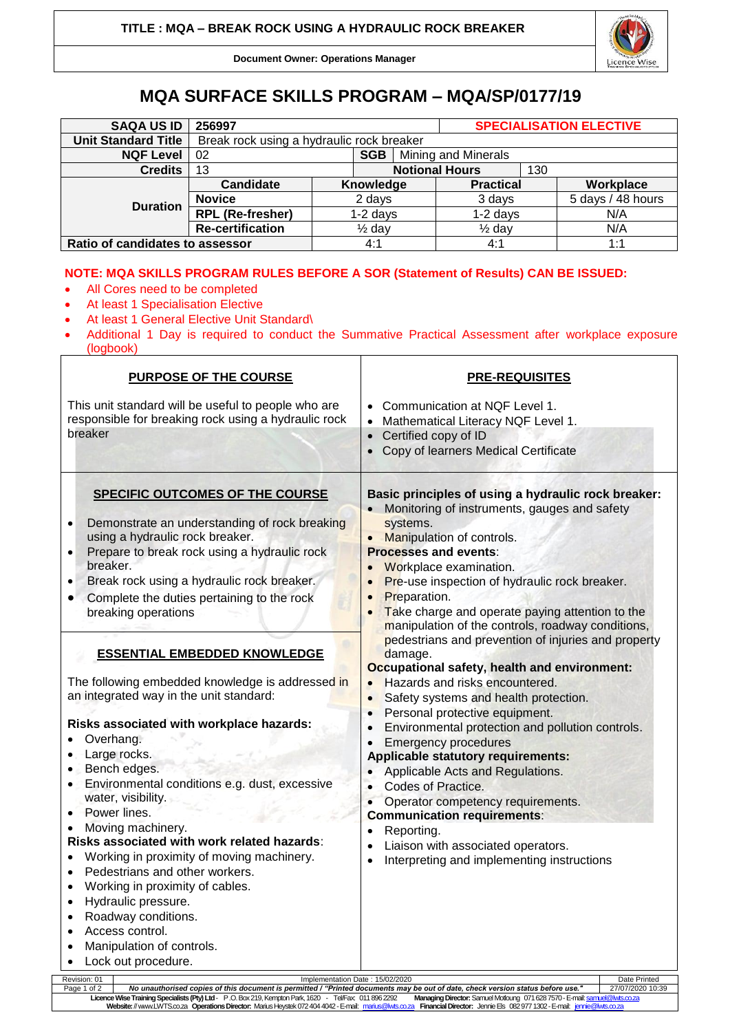

**Document Owner: Operations Manager**

## **MQA SURFACE SKILLS PROGRAM – MQA/SP/0177/19**

| <b>SAQA US ID</b>               | 256997                                    |                   |                     |                       | <b>SPECIALISATION ELECTIVE</b> |     |                   |  |
|---------------------------------|-------------------------------------------|-------------------|---------------------|-----------------------|--------------------------------|-----|-------------------|--|
| <b>Unit Standard Title</b>      | Break rock using a hydraulic rock breaker |                   |                     |                       |                                |     |                   |  |
| <b>NQF Level</b>                | -02                                       | <b>SGB</b>        | Mining and Minerals |                       |                                |     |                   |  |
| <b>Credits</b>                  | 13                                        |                   |                     | <b>Notional Hours</b> |                                | 130 |                   |  |
| <b>Duration</b>                 | Candidate                                 |                   | Knowledge           |                       | <b>Practical</b>               |     | Workplace         |  |
|                                 | <b>Novice</b>                             | 2 days            |                     |                       | 3 days                         |     | 5 days / 48 hours |  |
|                                 | <b>RPL (Re-fresher)</b>                   | $1-2$ days        |                     |                       | $1-2$ days                     |     | N/A               |  |
|                                 | <b>Re-certification</b>                   | $\frac{1}{2}$ day |                     |                       | $\frac{1}{2}$ day              |     | N/A               |  |
| Ratio of candidates to assessor |                                           |                   | 4:1                 |                       | 4:1                            |     | 1:1               |  |

## **NOTE: MQA SKILLS PROGRAM RULES BEFORE A SOR (Statement of Results) CAN BE ISSUED:**

- All Cores need to be completed
- At least 1 Specialisation Elective
- At least 1 General Elective Unit Standard\
- Additional 1 Day is required to conduct the Summative Practical Assessment after workplace exposure (logbook)

| <b>PURPOSE OF THE COURSE</b>                                                                                                                                                                                                                                                                                                                                                                                                                                                                                                                                                                                                                                                                                                                                                                                                                                                                                                                                                                                                                       | PRE-REQUISITES                                                                                                                                                                                                                                                                                                                                                                                                                                                                                                                                                                                                                                                                                                                                                                                                                                                                                                                                                                               |  |  |  |  |  |  |
|----------------------------------------------------------------------------------------------------------------------------------------------------------------------------------------------------------------------------------------------------------------------------------------------------------------------------------------------------------------------------------------------------------------------------------------------------------------------------------------------------------------------------------------------------------------------------------------------------------------------------------------------------------------------------------------------------------------------------------------------------------------------------------------------------------------------------------------------------------------------------------------------------------------------------------------------------------------------------------------------------------------------------------------------------|----------------------------------------------------------------------------------------------------------------------------------------------------------------------------------------------------------------------------------------------------------------------------------------------------------------------------------------------------------------------------------------------------------------------------------------------------------------------------------------------------------------------------------------------------------------------------------------------------------------------------------------------------------------------------------------------------------------------------------------------------------------------------------------------------------------------------------------------------------------------------------------------------------------------------------------------------------------------------------------------|--|--|--|--|--|--|
| This unit standard will be useful to people who are<br>responsible for breaking rock using a hydraulic rock<br>breaker                                                                                                                                                                                                                                                                                                                                                                                                                                                                                                                                                                                                                                                                                                                                                                                                                                                                                                                             | Communication at NQF Level 1.<br>Mathematical Literacy NQF Level 1.<br>Certified copy of ID<br>$\bullet$<br>Copy of learners Medical Certificate                                                                                                                                                                                                                                                                                                                                                                                                                                                                                                                                                                                                                                                                                                                                                                                                                                             |  |  |  |  |  |  |
| <b>SPECIFIC OUTCOMES OF THE COURSE</b><br>Demonstrate an understanding of rock breaking<br>$\bullet$<br>using a hydraulic rock breaker.<br>Prepare to break rock using a hydraulic rock<br>$\bullet$<br>breaker.<br>Break rock using a hydraulic rock breaker.<br>Complete the duties pertaining to the rock<br>breaking operations<br><b>ESSENTIAL EMBEDDED KNOWLEDGE</b><br>The following embedded knowledge is addressed in<br>an integrated way in the unit standard:<br>Risks associated with workplace hazards:<br>Overhang.<br>Large rocks.<br>Bench edges.<br>Environmental conditions e.g. dust, excessive<br>$\bullet$<br>water, visibility.<br>Power lines.<br>Moving machinery.<br>Risks associated with work related hazards:<br>Working in proximity of moving machinery.<br>Pedestrians and other workers.<br>$\bullet$<br>Working in proximity of cables.<br>$\bullet$<br>Hydraulic pressure.<br>$\bullet$<br>Roadway conditions.<br>$\bullet$<br>Access control.<br>$\bullet$<br>Manipulation of controls.<br>Lock out procedure. | Basic principles of using a hydraulic rock breaker:<br>Monitoring of instruments, gauges and safety<br>systems.<br>Manipulation of controls.<br><b>Processes and events:</b><br>Workplace examination.<br>Pre-use inspection of hydraulic rock breaker.<br>Preparation.<br>Take charge and operate paying attention to the<br>manipulation of the controls, roadway conditions,<br>pedestrians and prevention of injuries and property<br>damage.<br><b>Occupational safety, health and environment:</b><br>Hazards and risks encountered.<br>Safety systems and health protection.<br>Personal protective equipment.<br>Environmental protection and pollution controls.<br><b>Emergency procedures</b><br><b>Applicable statutory requirements:</b><br>Applicable Acts and Regulations.<br>Codes of Practice.<br>Operator competency requirements.<br><b>Communication requirements:</b><br>Reporting.<br>Liaison with associated operators.<br>Interpreting and implementing instructions |  |  |  |  |  |  |
|                                                                                                                                                                                                                                                                                                                                                                                                                                                                                                                                                                                                                                                                                                                                                                                                                                                                                                                                                                                                                                                    |                                                                                                                                                                                                                                                                                                                                                                                                                                                                                                                                                                                                                                                                                                                                                                                                                                                                                                                                                                                              |  |  |  |  |  |  |
| Revision: 01<br>Implementation Date: 15/02/2020<br>Page 1 of 2                                                                                                                                                                                                                                                                                                                                                                                                                                                                                                                                                                                                                                                                                                                                                                                                                                                                                                                                                                                     | Date Printed<br>27/07/2020 10:39                                                                                                                                                                                                                                                                                                                                                                                                                                                                                                                                                                                                                                                                                                                                                                                                                                                                                                                                                             |  |  |  |  |  |  |
| No unauthorised copies of this document is permitted / "Printed documents may be out of date, check version status before use.<br>Licence Wise Training Specialists (Pty) Ltd - P.O. Box 219, Kempton Park, 1620 - Tel/Fax: 011 896 2292<br>Managing Director: Samuel Motloung 071 628 7570 - E-mail: samuel@lwts.co.za<br>Financial Director: Jennie Els 082 977 1302 - E-mail: jennie<br>Website: // www.LWTS.co.za Operations Director: Marius Heystek 072 404 4042 - E-mail: mari                                                                                                                                                                                                                                                                                                                                                                                                                                                                                                                                                              |                                                                                                                                                                                                                                                                                                                                                                                                                                                                                                                                                                                                                                                                                                                                                                                                                                                                                                                                                                                              |  |  |  |  |  |  |